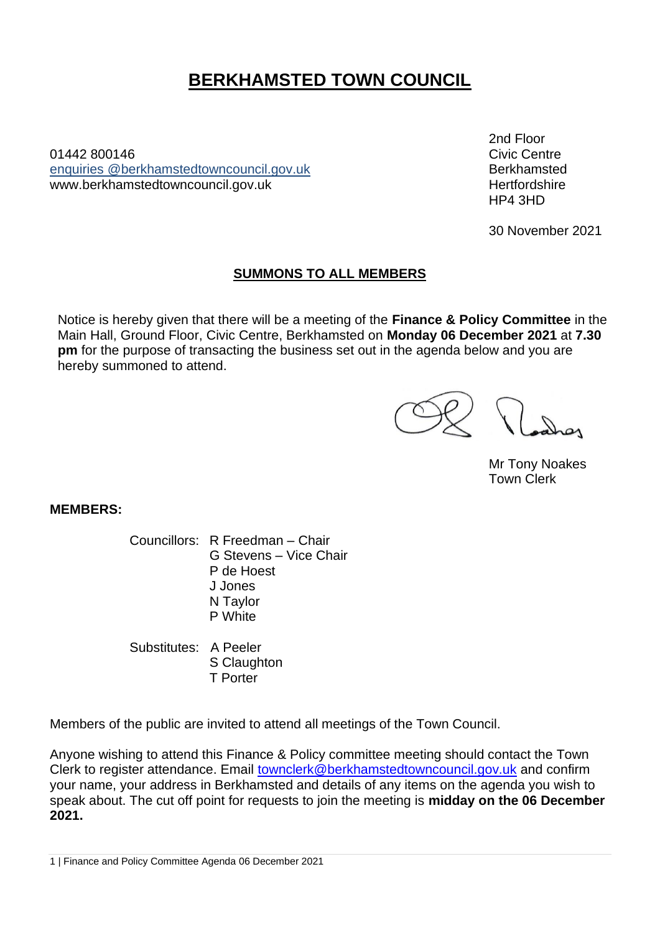# **BERKHAMSTED TOWN COUNCIL**

01442 800146Civic Centre enquiries [@berkhamstedtowncouncil.gov.uk](mailto:berkhamsted.towncouncil@dacorum.gov.uk) Berkhamsted www.berkhamstedtowncouncil.gov.uk https://www.berkhamstedtowncouncil.gov.uk

2nd Floor HP4 3HD

30 November 2021

# **SUMMONS TO ALL MEMBERS**

Notice is hereby given that there will be a meeting of the **Finance & Policy Committee** in the Main Hall, Ground Floor, Civic Centre, Berkhamsted on **Monday 06 December 2021** at **7.30 pm** for the purpose of transacting the business set out in the agenda below and you are hereby summoned to attend.

Mr Tony Noakes Town Clerk

**MEMBERS:**

Councillors: R Freedman – Chair G Stevens – Vice Chair P de Hoest J Jones N Taylor P White

Substitutes: A Peeler S Claughton T Porter

Members of the public are invited to attend all meetings of the Town Council.

Anyone wishing to attend this Finance & Policy committee meeting should contact the Town Clerk to register attendance. Email [townclerk@berkhamstedtowncouncil.gov.uk](mailto:townclerk@berkhamstedtowncouncil.gov.uk) and confirm your name, your address in Berkhamsted and details of any items on the agenda you wish to speak about. The cut off point for requests to join the meeting is **midday on the 06 December 2021.**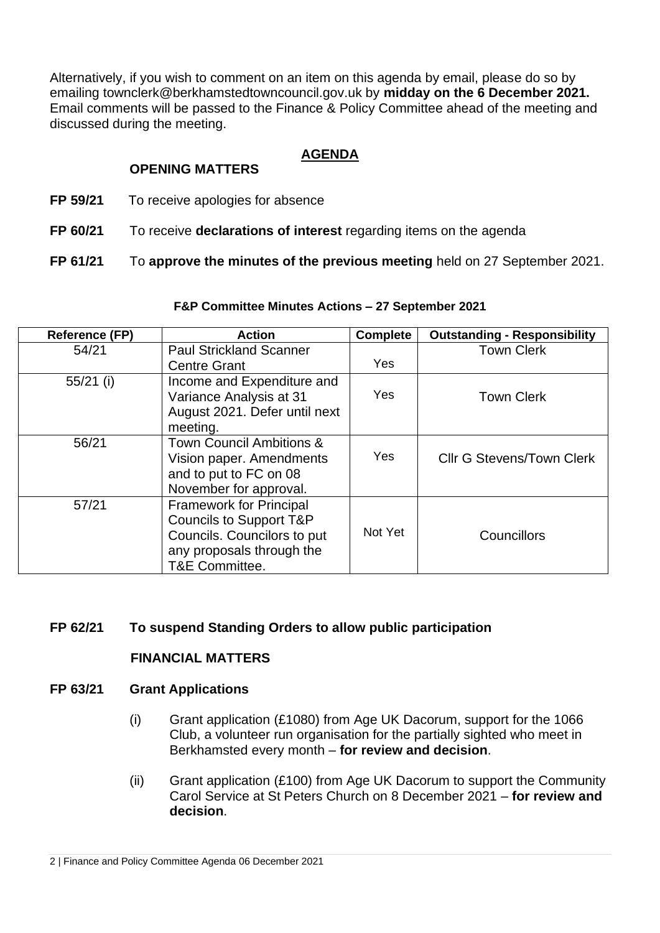Alternatively, if you wish to comment on an item on this agenda by email, please do so by emailing townclerk@berkhamstedtowncouncil.gov.uk by **midday on the 6 December 2021.**  Email comments will be passed to the Finance & Policy Committee ahead of the meeting and discussed during the meeting.

## **AGENDA**

# **OPENING MATTERS**

- **FP 59/21** To receive apologies for absence
- **FP 60/21** To receive **declarations of interest** regarding items on the agenda

**FP 61/21** To **approve the minutes of the previous meeting** held on 27 September 2021.

## **F&P Committee Minutes Actions – 27 September 2021**

| <b>Reference (FP)</b> | <b>Action</b>                       | <b>Complete</b> | <b>Outstanding - Responsibility</b> |
|-----------------------|-------------------------------------|-----------------|-------------------------------------|
| 54/21                 | <b>Paul Strickland Scanner</b>      |                 | <b>Town Clerk</b>                   |
|                       | <b>Centre Grant</b>                 | <b>Yes</b>      |                                     |
| $55/21$ (i)           | Income and Expenditure and          |                 |                                     |
|                       | Variance Analysis at 31             | <b>Yes</b>      | <b>Town Clerk</b>                   |
|                       | August 2021. Defer until next       |                 |                                     |
|                       | meeting.                            |                 |                                     |
| 56/21                 | <b>Town Council Ambitions &amp;</b> |                 |                                     |
|                       | Vision paper. Amendments            | <b>Yes</b>      | <b>Cllr G Stevens/Town Clerk</b>    |
|                       | and to put to FC on 08              |                 |                                     |
|                       | November for approval.              |                 |                                     |
| 57/21                 | <b>Framework for Principal</b>      |                 |                                     |
|                       | <b>Councils to Support T&amp;P</b>  |                 |                                     |
|                       | Councils. Councilors to put         | Not Yet         | Councillors                         |
|                       | any proposals through the           |                 |                                     |
|                       | T&E Committee.                      |                 |                                     |

# **FP 62/21 To suspend Standing Orders to allow public participation**

## **FINANCIAL MATTERS**

## **FP 63/21 Grant Applications**

- (i) Grant application (£1080) from Age UK Dacorum, support for the 1066 Club, a volunteer run organisation for the partially sighted who meet in Berkhamsted every month – **for review and decision**.
- (ii) Grant application (£100) from Age UK Dacorum to support the Community Carol Service at St Peters Church on 8 December 2021 – **for review and decision**.